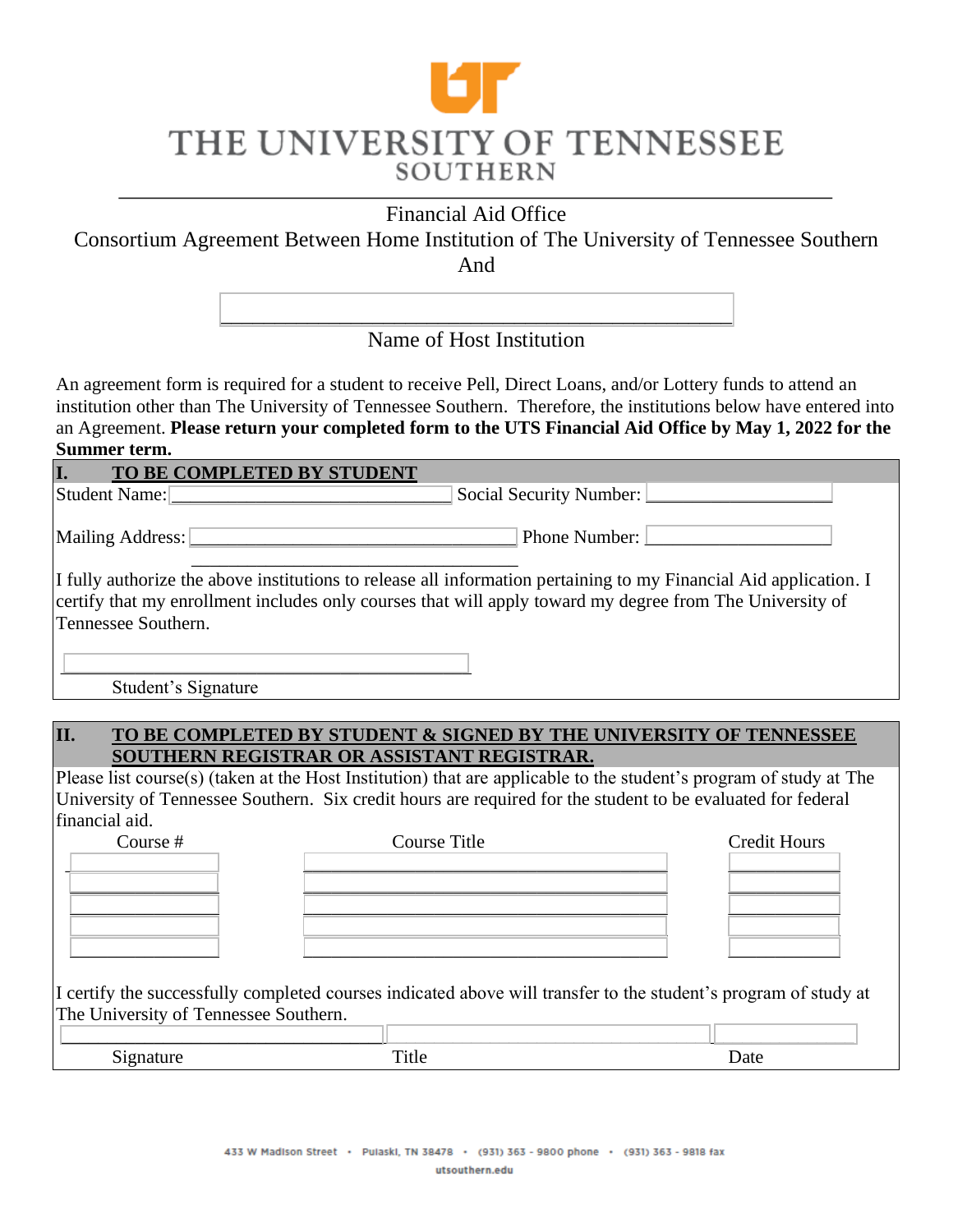# THE UNIVERSITY OF TENNESSEE **SOUTHERN**

Financial Aid Office

Consortium Agreement Between Home Institution of The University of Tennessee Southern And

> \_\_\_\_\_\_\_\_\_\_\_\_\_\_\_\_\_\_\_\_\_\_\_\_\_\_\_\_\_\_\_\_\_\_\_\_\_\_\_\_\_\_\_\_\_\_\_ Name of Host Institution

An agreement form is required for a student to receive Pell, Direct Loans, and/or Lottery funds to attend an institution other than The University of Tennessee Southern. Therefore, the institutions below have entered into an Agreement. **Please return your completed form to the UTS Financial Aid Office by May 1, 2022 for the Summer term.**

| L.<br>TO BE COMPLETED BY STUDENT |                                                                                                                                                                                                                               |
|----------------------------------|-------------------------------------------------------------------------------------------------------------------------------------------------------------------------------------------------------------------------------|
| Student Name: 2008               | Social Security Number:                                                                                                                                                                                                       |
| Mailing Address:                 | Phone Number:                                                                                                                                                                                                                 |
| Tennessee Southern.              | I fully authorize the above institutions to release all information pertaining to my Financial Aid application. I<br>certify that my enrollment includes only courses that will apply toward my degree from The University of |

 $\overline{\phantom{a}}$  , where the contract of the contract of the contract of the contract of the contract of the contract of the contract of the contract of the contract of the contract of the contract of the contract of the contr Student's Signature

#### **II. TO BE COMPLETED BY STUDENT & SIGNED BY THE UNIVERSITY OF TENNESSEE SOUTHERN REGISTRAR OR ASSISTANT REGISTRAR.**

Please list course(s) (taken at the Host Institution) that are applicable to the student's program of study at The University of Tennessee Southern. Six credit hours are required for the student to be evaluated for federal financial aid.

| Course # | Course Title | Credit Hours |
|----------|--------------|--------------|
|          |              |              |
|          |              |              |
|          |              |              |
|          |              |              |
|          |              |              |

I certify the successfully completed courses indicated above will transfer to the student's program of study at The University of Tennessee Southern.

| ~ | и.<br>. |
|---|---------|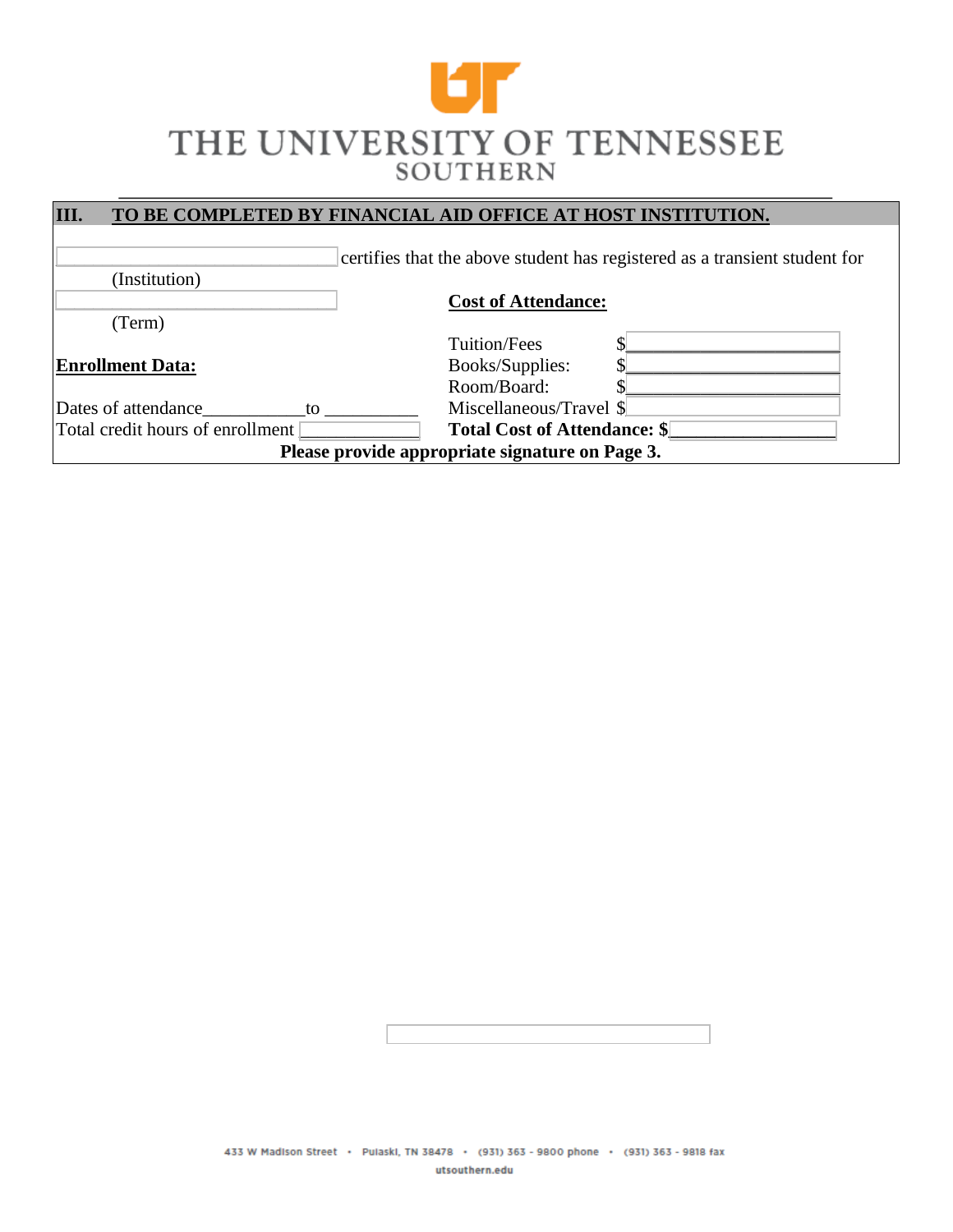## Ur THE UNIVERSITY OF TENNESSEE **SOUTHERN**

| III.<br>TO BE COMPLETED BY FINANCIAL AID OFFICE AT HOST INSTITUTION. |                                                                            |  |  |  |
|----------------------------------------------------------------------|----------------------------------------------------------------------------|--|--|--|
|                                                                      |                                                                            |  |  |  |
|                                                                      | certifies that the above student has registered as a transient student for |  |  |  |
| (Institution)                                                        |                                                                            |  |  |  |
|                                                                      | <b>Cost of Attendance:</b>                                                 |  |  |  |
| (Term)                                                               |                                                                            |  |  |  |
|                                                                      | Tuition/Fees                                                               |  |  |  |
| <b>Enrollment Data:</b>                                              | Books/Supplies:                                                            |  |  |  |
|                                                                      | Room/Board:                                                                |  |  |  |
| Dates of attendance<br>to                                            | Miscellaneous/Travel \$                                                    |  |  |  |
| Total credit hours of enrollment                                     | <b>Total Cost of Attendance: \$</b>                                        |  |  |  |
| Please provide appropriate signature on Page 3.                      |                                                                            |  |  |  |